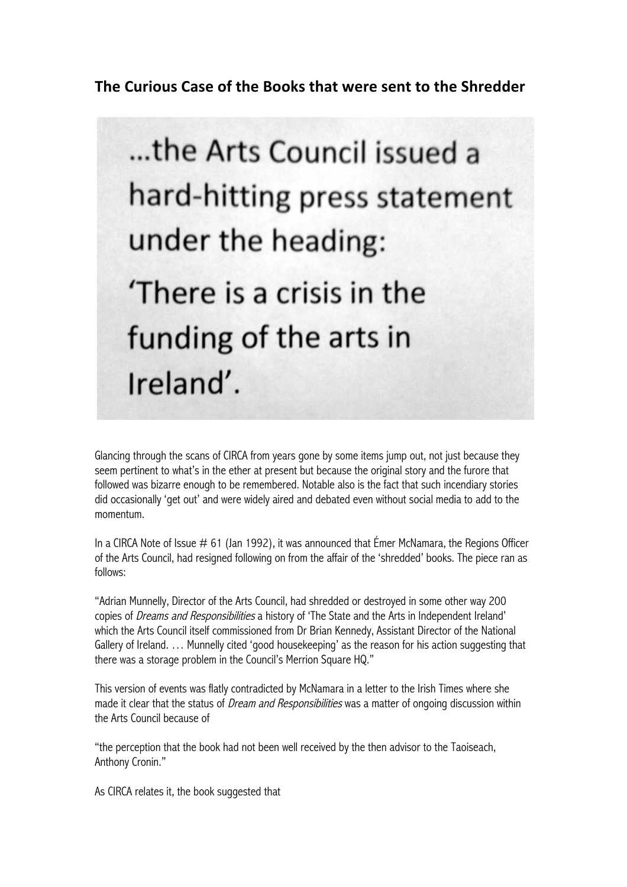**The Curious Case of the Books that were sent to the Shredder** 



Glancing through the scans of CIRCA from years gone by some items jump out, not just because they seem pertinent to what's in the ether at present but because the original story and the furore that followed was bizarre enough to be remembered. Notable also is the fact that such incendiary stories did occasionally 'get out' and were widely aired and debated even without social media to add to the momentum.

In a CIRCA Note of Issue  $\#$  61 (Jan 1992), it was announced that Emer McNamara, the Regions Officer of the Arts Council, had resigned following on from the affair of the 'shredded' books. The piece ran as follows:

"Adrian Munnelly, Director of the Arts Council, had shredded or destroyed in some other way 200 copies of Dreams and Responsibilities a history of 'The State and the Arts in Independent Ireland' which the Arts Council itself commissioned from Dr Brian Kennedy, Assistant Director of the National Gallery of Ireland. … Munnelly cited 'good housekeeping' as the reason for his action suggesting that there was a storage problem in the Council's Merrion Square HQ."

This version of events was flatly contradicted by McNamara in a letter to the Irish Times where she made it clear that the status of *Dream and Responsibilities* was a matter of ongoing discussion within the Arts Council because of

"the perception that the book had not been well received by the then advisor to the Taoiseach, Anthony Cronin."

As CIRCA relates it, the book suggested that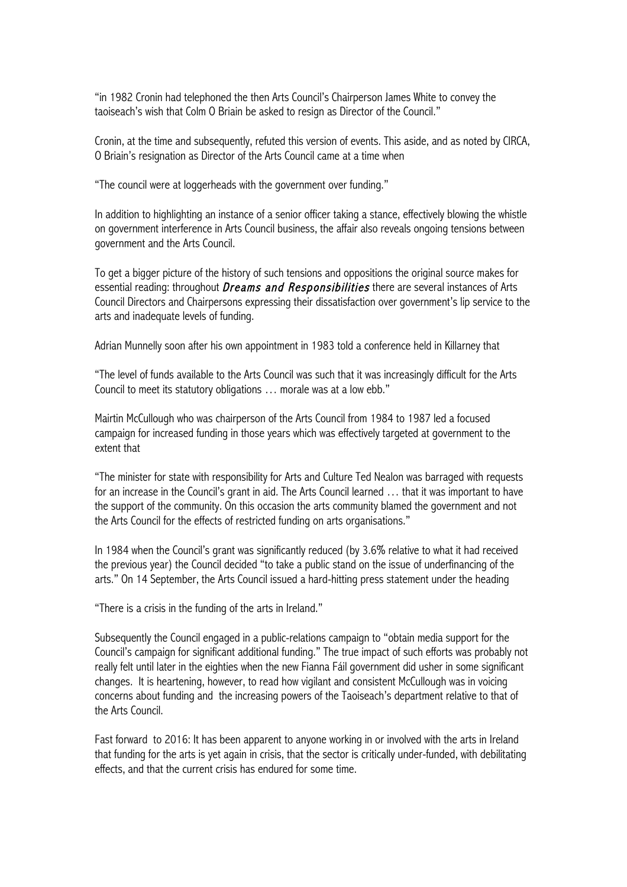"in 1982 Cronin had telephoned the then Arts Council's Chairperson James White to convey the taoiseach's wish that Colm O Briain be asked to resign as Director of the Council."

Cronin, at the time and subsequently, refuted this version of events. This aside, and as noted by CIRCA, O Briain's resignation as Director of the Arts Council came at a time when

"The council were at loggerheads with the government over funding."

In addition to highlighting an instance of a senior officer taking a stance, effectively blowing the whistle on government interference in Arts Council business, the affair also reveals ongoing tensions between government and the Arts Council.

To get a bigger picture of the history of such tensions and oppositions the original source makes for essential reading: throughout Dreams and Responsibilities there are several instances of Arts Council Directors and Chairpersons expressing their dissatisfaction over government's lip service to the arts and inadequate levels of funding.

Adrian Munnelly soon after his own appointment in 1983 told a conference held in Killarney that

"The level of funds available to the Arts Council was such that it was increasingly difficult for the Arts Council to meet its statutory obligations … morale was at a low ebb."

Mairtin McCullough who was chairperson of the Arts Council from 1984 to 1987 led a focused campaign for increased funding in those years which was effectively targeted at government to the extent that

"The minister for state with responsibility for Arts and Culture Ted Nealon was barraged with requests for an increase in the Council's grant in aid. The Arts Council learned ... that it was important to have the support of the community. On this occasion the arts community blamed the government and not the Arts Council for the effects of restricted funding on arts organisations."

In 1984 when the Council's grant was significantly reduced (by 3.6% relative to what it had received the previous year) the Council decided "to take a public stand on the issue of underfinancing of the arts." On 14 September, the Arts Council issued a hard-hitting press statement under the heading

"There is a crisis in the funding of the arts in Ireland."

Subsequently the Council engaged in a public-relations campaign to "obtain media support for the Council's campaign for significant additional funding." The true impact of such efforts was probably not really felt until later in the eighties when the new Fianna Fáil government did usher in some significant changes. It is heartening, however, to read how vigilant and consistent McCullough was in voicing concerns about funding and the increasing powers of the Taoiseach's department relative to that of the Arts Council.

Fast forward to 2016: It has been apparent to anyone working in or involved with the arts in Ireland that funding for the arts is yet again in crisis, that the sector is critically under-funded, with debilitating effects, and that the current crisis has endured for some time.